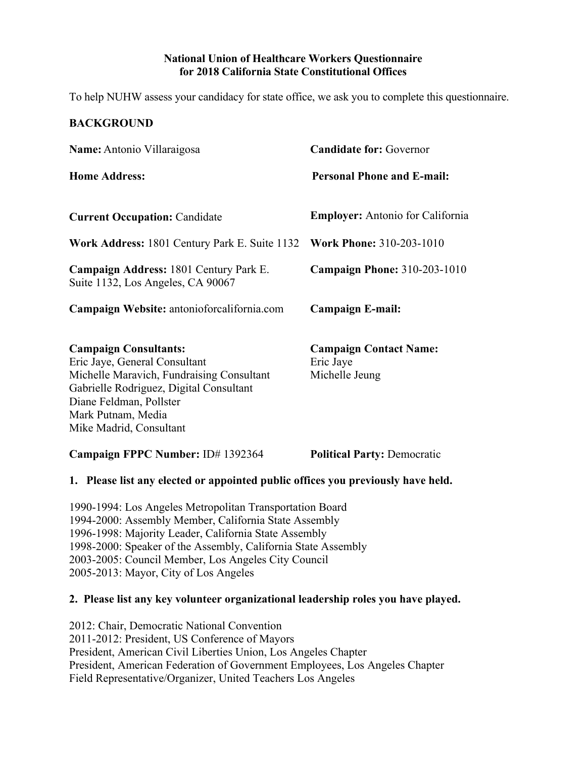#### **National Union of Healthcare Workers Questionnaire for 2018 California State Constitutional Offices**

To help NUHW assess your candidacy for state office, we ask you to complete this questionnaire.

# **BACKGROUND Name:** Antonio Villaraigosa **Candidate for:** Governor **Home Address: Personal Phone and E-mail: Current Occupation:** Candidate **Employer:** Antonio for California **Work Address:** 1801 Century Park E. Suite 1132 **Work Phone:** 310-203-1010 **Campaign Address:** 1801 Century Park E. **Campaign Phone:** 310-203-1010 Suite 1132, Los Angeles, CA 90067 **Campaign Website:** antonioforcalifornia.com **Campaign E-mail: Campaign Consultants: Campaign Contact Name:** Eric Jaye, General Consultant Eric Jaye Michelle Maravich, Fundraising Consultant Michelle Jeung Gabrielle Rodriguez, Digital Consultant Diane Feldman, Pollster Mark Putnam, Media Mike Madrid, Consultant **Campaign FPPC Number:** ID# 1392364 **Political Party:** Democratic **1. Please list any elected or appointed public offices you previously have held.** 1990-1994: Los Angeles Metropolitan Transportation Board 1994-2000: Assembly Member, California State Assembly 1996-1998: Majority Leader, California State Assembly 1998-2000: Speaker of the Assembly, California State Assembly 2003-2005: Council Member, Los Angeles City Council

2005-2013: Mayor, City of Los Angeles

## **2. Please list any key volunteer organizational leadership roles you have played.**

2012: Chair, Democratic National Convention 2011-2012: President, US Conference of Mayors President, American Civil Liberties Union, Los Angeles Chapter President, American Federation of Government Employees, Los Angeles Chapter Field Representative/Organizer, United Teachers Los Angeles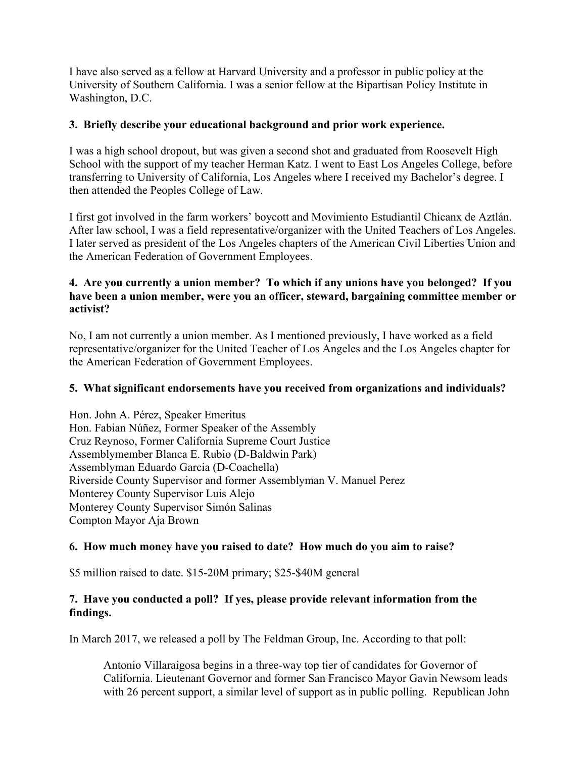I have also served as a fellow at Harvard University and a professor in public policy at the University of Southern California. I was a senior fellow at the Bipartisan Policy Institute in Washington, D.C.

#### **3. Briefly describe your educational background and prior work experience.**

I was a high school dropout, but was given a second shot and graduated from Roosevelt High School with the support of my teacher Herman Katz. I went to East Los Angeles College, before transferring to University of California, Los Angeles where I received my Bachelor's degree. I then attended the Peoples College of Law.

I first got involved in the farm workers' boycott and Movimiento Estudiantil Chicanx de Aztlán. After law school, I was a field representative/organizer with the United Teachers of Los Angeles. I later served as president of the Los Angeles chapters of the American Civil Liberties Union and the American Federation of Government Employees.

## **4. Are you currently a union member? To which if any unions have you belonged? If you have been a union member, were you an officer, steward, bargaining committee member or activist?**

No, I am not currently a union member. As I mentioned previously, I have worked as a field representative/organizer for the United Teacher of Los Angeles and the Los Angeles chapter for the American Federation of Government Employees.

## **5. What significant endorsements have you received from organizations and individuals?**

Hon. John A. Pérez, Speaker Emeritus Hon. Fabian Núñez, Former Speaker of the Assembly Cruz Reynoso, Former California Supreme Court Justice Assemblymember Blanca E. Rubio (D-Baldwin Park) Assemblyman Eduardo Garcia (D-Coachella) Riverside County Supervisor and former Assemblyman V. Manuel Perez Monterey County Supervisor Luis Alejo Monterey County Supervisor Simón Salinas Compton Mayor Aja Brown

## **6. How much money have you raised to date? How much do you aim to raise?**

\$5 million raised to date. \$15-20M primary; \$25-\$40M general

## **7. Have you conducted a poll? If yes, please provide relevant information from the findings.**

In March 2017, we released a poll by The Feldman Group, Inc. According to that poll:

Antonio Villaraigosa begins in a three-way top tier of candidates for Governor of California. Lieutenant Governor and former San Francisco Mayor Gavin Newsom leads with 26 percent support, a similar level of support as in public polling. Republican John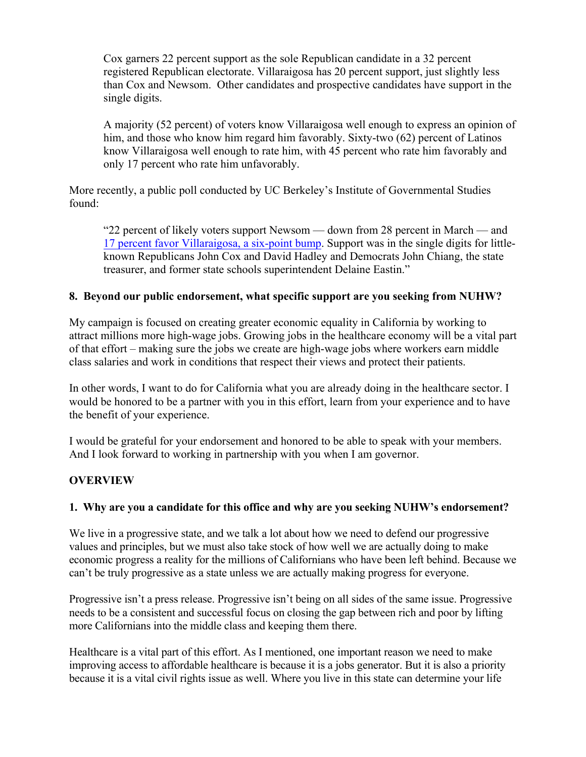Cox garners 22 percent support as the sole Republican candidate in a 32 percent registered Republican electorate. Villaraigosa has 20 percent support, just slightly less than Cox and Newsom. Other candidates and prospective candidates have support in the single digits.

A majority (52 percent) of voters know Villaraigosa well enough to express an opinion of him, and those who know him regard him favorably. Sixty-two (62) percent of Latinos know Villaraigosa well enough to rate him, with 45 percent who rate him favorably and only 17 percent who rate him unfavorably.

More recently, a public poll conducted by UC Berkeley's Institute of Governmental Studies found:

"22 percent of likely voters support Newsom — down from 28 percent in March — and 17 percent favor Villaraigosa, a six-point bump. Support was in the single digits for littleknown Republicans John Cox and David Hadley and Democrats John Chiang, the state treasurer, and former state schools superintendent Delaine Eastin."

#### **8. Beyond our public endorsement, what specific support are you seeking from NUHW?**

My campaign is focused on creating greater economic equality in California by working to attract millions more high-wage jobs. Growing jobs in the healthcare economy will be a vital part of that effort – making sure the jobs we create are high-wage jobs where workers earn middle class salaries and work in conditions that respect their views and protect their patients.

In other words, I want to do for California what you are already doing in the healthcare sector. I would be honored to be a partner with you in this effort, learn from your experience and to have the benefit of your experience.

I would be grateful for your endorsement and honored to be able to speak with your members. And I look forward to working in partnership with you when I am governor.

## **OVERVIEW**

#### **1. Why are you a candidate for this office and why are you seeking NUHW's endorsement?**

We live in a progressive state, and we talk a lot about how we need to defend our progressive values and principles, but we must also take stock of how well we are actually doing to make economic progress a reality for the millions of Californians who have been left behind. Because we can't be truly progressive as a state unless we are actually making progress for everyone.

Progressive isn't a press release. Progressive isn't being on all sides of the same issue. Progressive needs to be a consistent and successful focus on closing the gap between rich and poor by lifting more Californians into the middle class and keeping them there.

Healthcare is a vital part of this effort. As I mentioned, one important reason we need to make improving access to affordable healthcare is because it is a jobs generator. But it is also a priority because it is a vital civil rights issue as well. Where you live in this state can determine your life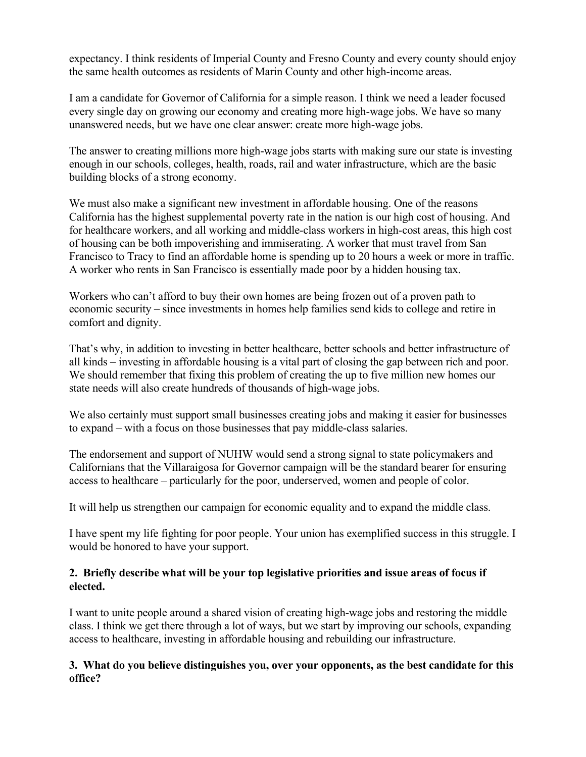expectancy. I think residents of Imperial County and Fresno County and every county should enjoy the same health outcomes as residents of Marin County and other high-income areas.

I am a candidate for Governor of California for a simple reason. I think we need a leader focused every single day on growing our economy and creating more high-wage jobs. We have so many unanswered needs, but we have one clear answer: create more high-wage jobs.

The answer to creating millions more high-wage jobs starts with making sure our state is investing enough in our schools, colleges, health, roads, rail and water infrastructure, which are the basic building blocks of a strong economy.

We must also make a significant new investment in affordable housing. One of the reasons California has the highest supplemental poverty rate in the nation is our high cost of housing. And for healthcare workers, and all working and middle-class workers in high-cost areas, this high cost of housing can be both impoverishing and immiserating. A worker that must travel from San Francisco to Tracy to find an affordable home is spending up to 20 hours a week or more in traffic. A worker who rents in San Francisco is essentially made poor by a hidden housing tax.

Workers who can't afford to buy their own homes are being frozen out of a proven path to economic security – since investments in homes help families send kids to college and retire in comfort and dignity.

That's why, in addition to investing in better healthcare, better schools and better infrastructure of all kinds – investing in affordable housing is a vital part of closing the gap between rich and poor. We should remember that fixing this problem of creating the up to five million new homes our state needs will also create hundreds of thousands of high-wage jobs.

We also certainly must support small businesses creating jobs and making it easier for businesses to expand – with a focus on those businesses that pay middle-class salaries.

The endorsement and support of NUHW would send a strong signal to state policymakers and Californians that the Villaraigosa for Governor campaign will be the standard bearer for ensuring access to healthcare – particularly for the poor, underserved, women and people of color.

It will help us strengthen our campaign for economic equality and to expand the middle class.

I have spent my life fighting for poor people. Your union has exemplified success in this struggle. I would be honored to have your support.

# **2. Briefly describe what will be your top legislative priorities and issue areas of focus if elected.**

I want to unite people around a shared vision of creating high-wage jobs and restoring the middle class. I think we get there through a lot of ways, but we start by improving our schools, expanding access to healthcare, investing in affordable housing and rebuilding our infrastructure.

## **3. What do you believe distinguishes you, over your opponents, as the best candidate for this office?**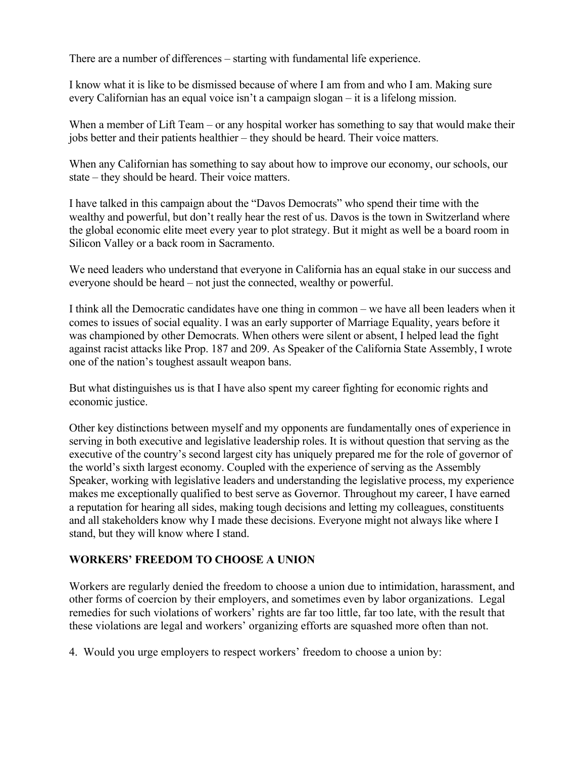There are a number of differences – starting with fundamental life experience.

I know what it is like to be dismissed because of where I am from and who I am. Making sure every Californian has an equal voice isn't a campaign slogan – it is a lifelong mission.

When a member of Lift Team – or any hospital worker has something to say that would make their jobs better and their patients healthier – they should be heard. Their voice matters.

When any Californian has something to say about how to improve our economy, our schools, our state – they should be heard. Their voice matters.

I have talked in this campaign about the "Davos Democrats" who spend their time with the wealthy and powerful, but don't really hear the rest of us. Davos is the town in Switzerland where the global economic elite meet every year to plot strategy. But it might as well be a board room in Silicon Valley or a back room in Sacramento.

We need leaders who understand that everyone in California has an equal stake in our success and everyone should be heard – not just the connected, wealthy or powerful.

I think all the Democratic candidates have one thing in common – we have all been leaders when it comes to issues of social equality. I was an early supporter of Marriage Equality, years before it was championed by other Democrats. When others were silent or absent, I helped lead the fight against racist attacks like Prop. 187 and 209. As Speaker of the California State Assembly, I wrote one of the nation's toughest assault weapon bans.

But what distinguishes us is that I have also spent my career fighting for economic rights and economic justice.

Other key distinctions between myself and my opponents are fundamentally ones of experience in serving in both executive and legislative leadership roles. It is without question that serving as the executive of the country's second largest city has uniquely prepared me for the role of governor of the world's sixth largest economy. Coupled with the experience of serving as the Assembly Speaker, working with legislative leaders and understanding the legislative process, my experience makes me exceptionally qualified to best serve as Governor. Throughout my career, I have earned a reputation for hearing all sides, making tough decisions and letting my colleagues, constituents and all stakeholders know why I made these decisions. Everyone might not always like where I stand, but they will know where I stand.

## **WORKERS' FREEDOM TO CHOOSE A UNION**

Workers are regularly denied the freedom to choose a union due to intimidation, harassment, and other forms of coercion by their employers, and sometimes even by labor organizations. Legal remedies for such violations of workers' rights are far too little, far too late, with the result that these violations are legal and workers' organizing efforts are squashed more often than not.

4. Would you urge employers to respect workers' freedom to choose a union by: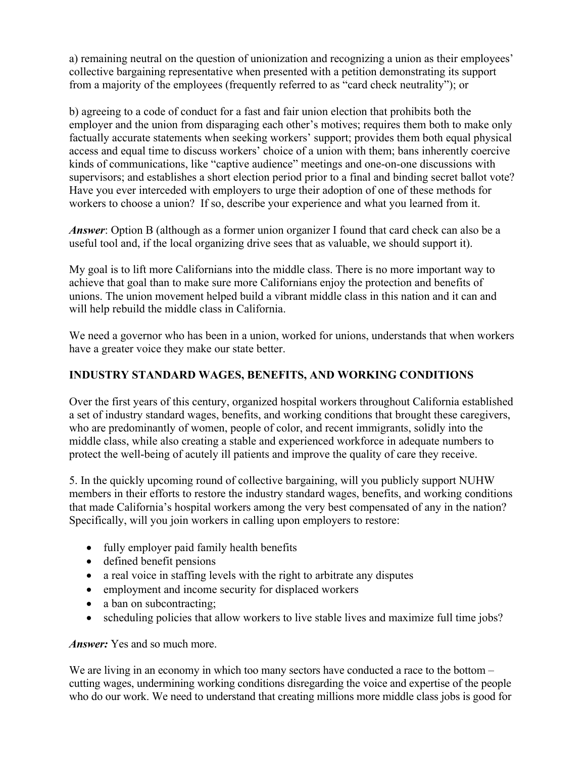a) remaining neutral on the question of unionization and recognizing a union as their employees' collective bargaining representative when presented with a petition demonstrating its support from a majority of the employees (frequently referred to as "card check neutrality"); or

b) agreeing to a code of conduct for a fast and fair union election that prohibits both the employer and the union from disparaging each other's motives; requires them both to make only factually accurate statements when seeking workers' support; provides them both equal physical access and equal time to discuss workers' choice of a union with them; bans inherently coercive kinds of communications, like "captive audience" meetings and one-on-one discussions with supervisors; and establishes a short election period prior to a final and binding secret ballot vote? Have you ever interceded with employers to urge their adoption of one of these methods for workers to choose a union? If so, describe your experience and what you learned from it.

*Answer*: Option B (although as a former union organizer I found that card check can also be a useful tool and, if the local organizing drive sees that as valuable, we should support it).

My goal is to lift more Californians into the middle class. There is no more important way to achieve that goal than to make sure more Californians enjoy the protection and benefits of unions. The union movement helped build a vibrant middle class in this nation and it can and will help rebuild the middle class in California.

We need a governor who has been in a union, worked for unions, understands that when workers have a greater voice they make our state better.

# **INDUSTRY STANDARD WAGES, BENEFITS, AND WORKING CONDITIONS**

Over the first years of this century, organized hospital workers throughout California established a set of industry standard wages, benefits, and working conditions that brought these caregivers, who are predominantly of women, people of color, and recent immigrants, solidly into the middle class, while also creating a stable and experienced workforce in adequate numbers to protect the well-being of acutely ill patients and improve the quality of care they receive.

5. In the quickly upcoming round of collective bargaining, will you publicly support NUHW members in their efforts to restore the industry standard wages, benefits, and working conditions that made California's hospital workers among the very best compensated of any in the nation? Specifically, will you join workers in calling upon employers to restore:

- fully employer paid family health benefits
- defined benefit pensions
- a real voice in staffing levels with the right to arbitrate any disputes
- employment and income security for displaced workers
- a ban on subcontracting;
- scheduling policies that allow workers to live stable lives and maximize full time jobs?

*Answer:* Yes and so much more.

We are living in an economy in which too many sectors have conducted a race to the bottom – cutting wages, undermining working conditions disregarding the voice and expertise of the people who do our work. We need to understand that creating millions more middle class jobs is good for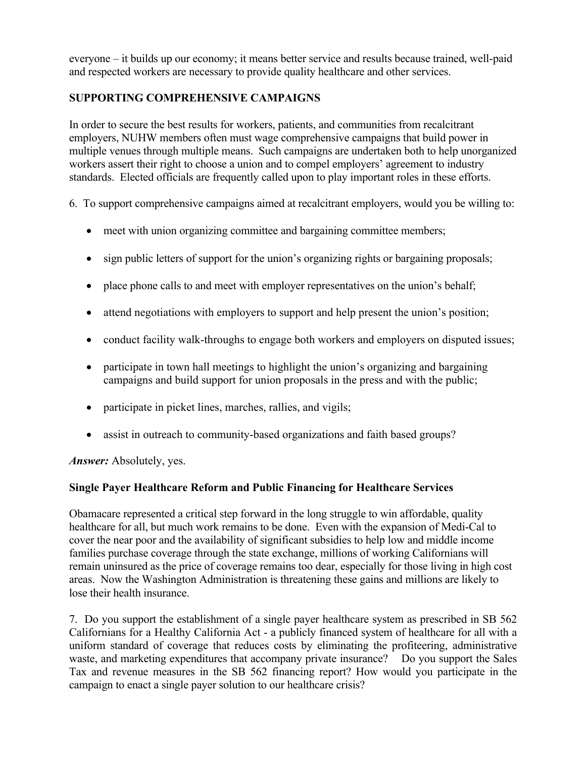everyone – it builds up our economy; it means better service and results because trained, well-paid and respected workers are necessary to provide quality healthcare and other services.

# **SUPPORTING COMPREHENSIVE CAMPAIGNS**

In order to secure the best results for workers, patients, and communities from recalcitrant employers, NUHW members often must wage comprehensive campaigns that build power in multiple venues through multiple means. Such campaigns are undertaken both to help unorganized workers assert their right to choose a union and to compel employers' agreement to industry standards. Elected officials are frequently called upon to play important roles in these efforts.

6. To support comprehensive campaigns aimed at recalcitrant employers, would you be willing to:

- meet with union organizing committee and bargaining committee members;
- sign public letters of support for the union's organizing rights or bargaining proposals;
- place phone calls to and meet with employer representatives on the union's behalf;
- attend negotiations with employers to support and help present the union's position;
- conduct facility walk-throughs to engage both workers and employers on disputed issues;
- participate in town hall meetings to highlight the union's organizing and bargaining campaigns and build support for union proposals in the press and with the public;
- participate in picket lines, marches, rallies, and vigils;
- assist in outreach to community-based organizations and faith based groups?

*Answer:* Absolutely, yes.

## **Single Payer Healthcare Reform and Public Financing for Healthcare Services**

Obamacare represented a critical step forward in the long struggle to win affordable, quality healthcare for all, but much work remains to be done. Even with the expansion of Medi-Cal to cover the near poor and the availability of significant subsidies to help low and middle income families purchase coverage through the state exchange, millions of working Californians will remain uninsured as the price of coverage remains too dear, especially for those living in high cost areas. Now the Washington Administration is threatening these gains and millions are likely to lose their health insurance.

7. Do you support the establishment of a single payer healthcare system as prescribed in SB 562 Californians for a Healthy California Act - a publicly financed system of healthcare for all with a uniform standard of coverage that reduces costs by eliminating the profiteering, administrative waste, and marketing expenditures that accompany private insurance? Do you support the Sales Tax and revenue measures in the SB 562 financing report? How would you participate in the campaign to enact a single payer solution to our healthcare crisis?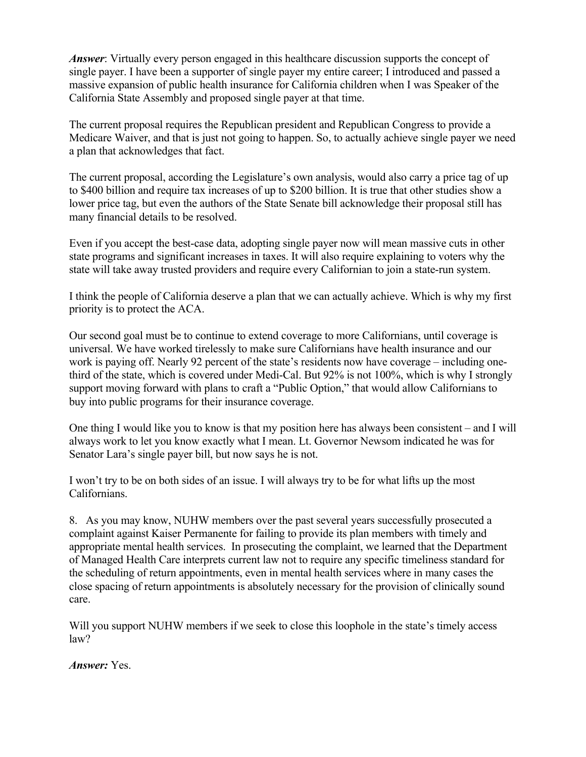*Answer*: Virtually every person engaged in this healthcare discussion supports the concept of single payer. I have been a supporter of single payer my entire career; I introduced and passed a massive expansion of public health insurance for California children when I was Speaker of the California State Assembly and proposed single payer at that time.

The current proposal requires the Republican president and Republican Congress to provide a Medicare Waiver, and that is just not going to happen. So, to actually achieve single payer we need a plan that acknowledges that fact.

The current proposal, according the Legislature's own analysis, would also carry a price tag of up to \$400 billion and require tax increases of up to \$200 billion. It is true that other studies show a lower price tag, but even the authors of the State Senate bill acknowledge their proposal still has many financial details to be resolved.

Even if you accept the best-case data, adopting single payer now will mean massive cuts in other state programs and significant increases in taxes. It will also require explaining to voters why the state will take away trusted providers and require every Californian to join a state-run system.

I think the people of California deserve a plan that we can actually achieve. Which is why my first priority is to protect the ACA.

Our second goal must be to continue to extend coverage to more Californians, until coverage is universal. We have worked tirelessly to make sure Californians have health insurance and our work is paying off. Nearly 92 percent of the state's residents now have coverage – including onethird of the state, which is covered under Medi-Cal. But 92% is not 100%, which is why I strongly support moving forward with plans to craft a "Public Option," that would allow Californians to buy into public programs for their insurance coverage.

One thing I would like you to know is that my position here has always been consistent – and I will always work to let you know exactly what I mean. Lt. Governor Newsom indicated he was for Senator Lara's single payer bill, but now says he is not.

I won't try to be on both sides of an issue. I will always try to be for what lifts up the most Californians.

8. As you may know, NUHW members over the past several years successfully prosecuted a complaint against Kaiser Permanente for failing to provide its plan members with timely and appropriate mental health services. In prosecuting the complaint, we learned that the Department of Managed Health Care interprets current law not to require any specific timeliness standard for the scheduling of return appointments, even in mental health services where in many cases the close spacing of return appointments is absolutely necessary for the provision of clinically sound care.

Will you support NUHW members if we seek to close this loophole in the state's timely access law?

*Answer:* Yes.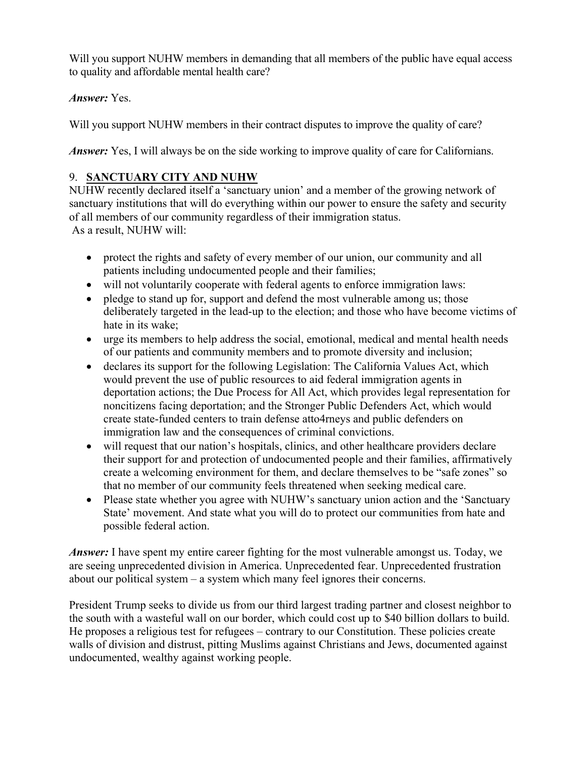Will you support NUHW members in demanding that all members of the public have equal access to quality and affordable mental health care?

# *Answer:* Yes.

Will you support NUHW members in their contract disputes to improve the quality of care?

*Answer:* Yes, I will always be on the side working to improve quality of care for Californians.

# 9. **SANCTUARY CITY AND NUHW**

NUHW recently declared itself a 'sanctuary union' and a member of the growing network of sanctuary institutions that will do everything within our power to ensure the safety and security of all members of our community regardless of their immigration status. As a result, NUHW will:

- protect the rights and safety of every member of our union, our community and all patients including undocumented people and their families;
- will not voluntarily cooperate with federal agents to enforce immigration laws:
- pledge to stand up for, support and defend the most vulnerable among us; those deliberately targeted in the lead-up to the election; and those who have become victims of hate in its wake;
- urge its members to help address the social, emotional, medical and mental health needs of our patients and community members and to promote diversity and inclusion;
- declares its support for the following Legislation: The California Values Act, which would prevent the use of public resources to aid federal immigration agents in deportation actions; the Due Process for All Act, which provides legal representation for noncitizens facing deportation; and the Stronger Public Defenders Act, which would create state-funded centers to train defense atto4rneys and public defenders on immigration law and the consequences of criminal convictions.
- will request that our nation's hospitals, clinics, and other healthcare providers declare their support for and protection of undocumented people and their families, affirmatively create a welcoming environment for them, and declare themselves to be "safe zones" so that no member of our community feels threatened when seeking medical care.
- Please state whether you agree with NUHW's sanctuary union action and the 'Sanctuary' State' movement. And state what you will do to protect our communities from hate and possible federal action.

*Answer*: I have spent my entire career fighting for the most vulnerable amongst us. Today, we are seeing unprecedented division in America. Unprecedented fear. Unprecedented frustration about our political system – a system which many feel ignores their concerns.

President Trump seeks to divide us from our third largest trading partner and closest neighbor to the south with a wasteful wall on our border, which could cost up to \$40 billion dollars to build. He proposes a religious test for refugees – contrary to our Constitution. These policies create walls of division and distrust, pitting Muslims against Christians and Jews, documented against undocumented, wealthy against working people.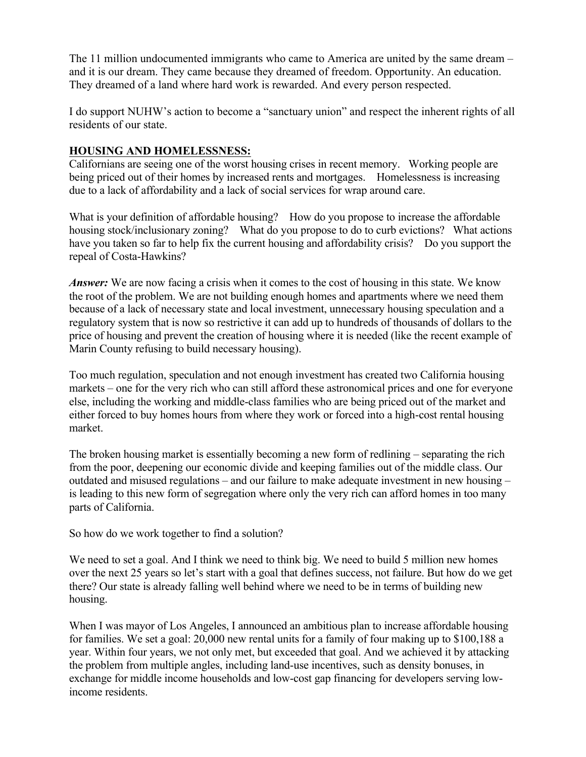The 11 million undocumented immigrants who came to America are united by the same dream – and it is our dream. They came because they dreamed of freedom. Opportunity. An education. They dreamed of a land where hard work is rewarded. And every person respected.

I do support NUHW's action to become a "sanctuary union" and respect the inherent rights of all residents of our state.

#### **HOUSING AND HOMELESSNESS:**

Californians are seeing one of the worst housing crises in recent memory. Working people are being priced out of their homes by increased rents and mortgages. Homelessness is increasing due to a lack of affordability and a lack of social services for wrap around care.

What is your definition of affordable housing? How do you propose to increase the affordable housing stock/inclusionary zoning? What do you propose to do to curb evictions? What actions have you taken so far to help fix the current housing and affordability crisis? Do you support the repeal of Costa-Hawkins?

*Answer:* We are now facing a crisis when it comes to the cost of housing in this state. We know the root of the problem. We are not building enough homes and apartments where we need them because of a lack of necessary state and local investment, unnecessary housing speculation and a regulatory system that is now so restrictive it can add up to hundreds of thousands of dollars to the price of housing and prevent the creation of housing where it is needed (like the recent example of Marin County refusing to build necessary housing).

Too much regulation, speculation and not enough investment has created two California housing markets – one for the very rich who can still afford these astronomical prices and one for everyone else, including the working and middle-class families who are being priced out of the market and either forced to buy homes hours from where they work or forced into a high-cost rental housing market.

The broken housing market is essentially becoming a new form of redlining – separating the rich from the poor, deepening our economic divide and keeping families out of the middle class. Our outdated and misused regulations – and our failure to make adequate investment in new housing – is leading to this new form of segregation where only the very rich can afford homes in too many parts of California.

So how do we work together to find a solution?

We need to set a goal. And I think we need to think big. We need to build 5 million new homes over the next 25 years so let's start with a goal that defines success, not failure. But how do we get there? Our state is already falling well behind where we need to be in terms of building new housing.

When I was mayor of Los Angeles, I announced an ambitious plan to increase affordable housing for families. We set a goal: 20,000 new rental units for a family of four making up to \$100,188 a year. Within four years, we not only met, but exceeded that goal. And we achieved it by attacking the problem from multiple angles, including land-use incentives, such as density bonuses, in exchange for middle income households and low-cost gap financing for developers serving lowincome residents.